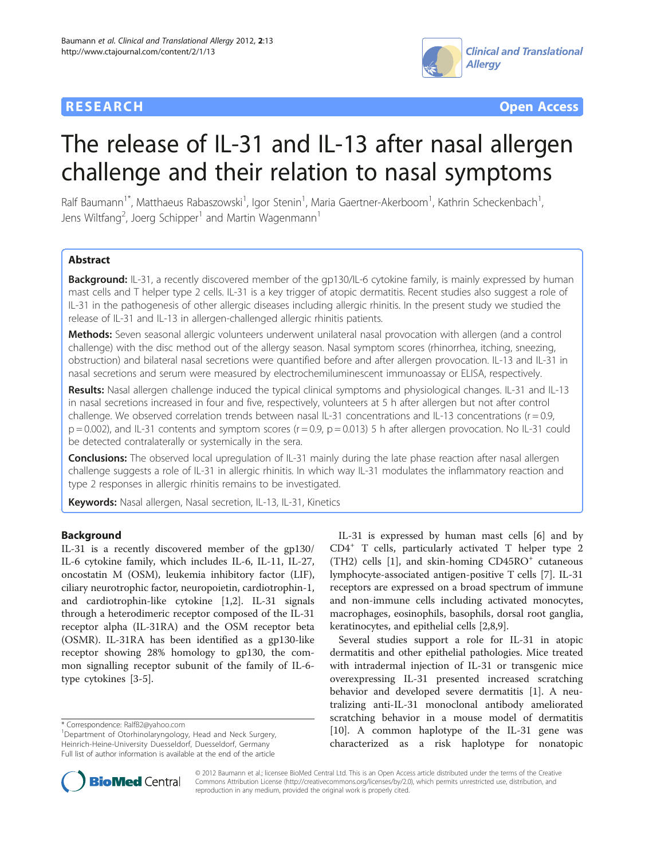



# The release of IL-31 and IL-13 after nasal allergen challenge and their relation to nasal symptoms

Ralf Baumann<sup>1\*</sup>, Matthaeus Rabaszowski<sup>1</sup>, Igor Stenin<sup>1</sup>, Maria Gaertner-Akerboom<sup>1</sup>, Kathrin Scheckenbach<sup>1</sup> , Jens Wiltfang<sup>2</sup>, Joerg Schipper<sup>1</sup> and Martin Wagenmann<sup>1</sup>

# **Abstract**

Background: IL-31, a recently discovered member of the qp130/IL-6 cytokine family, is mainly expressed by human mast cells and T helper type 2 cells. IL-31 is a key trigger of atopic dermatitis. Recent studies also suggest a role of IL-31 in the pathogenesis of other allergic diseases including allergic rhinitis. In the present study we studied the release of IL-31 and IL-13 in allergen-challenged allergic rhinitis patients.

Methods: Seven seasonal allergic volunteers underwent unilateral nasal provocation with allergen (and a control challenge) with the disc method out of the allergy season. Nasal symptom scores (rhinorrhea, itching, sneezing, obstruction) and bilateral nasal secretions were quantified before and after allergen provocation. IL-13 and IL-31 in nasal secretions and serum were measured by electrochemiluminescent immunoassay or ELISA, respectively.

Results: Nasal allergen challenge induced the typical clinical symptoms and physiological changes. IL-31 and IL-13 in nasal secretions increased in four and five, respectively, volunteers at 5 h after allergen but not after control challenge. We observed correlation trends between nasal IL-31 concentrations and IL-13 concentrations ( $r = 0.9$ ,  $p = 0.002$ ), and IL-31 contents and symptom scores ( $r = 0.9$ ,  $p = 0.013$ ) 5 h after allergen provocation. No IL-31 could be detected contralaterally or systemically in the sera.

**Conclusions:** The observed local upregulation of IL-31 mainly during the late phase reaction after nasal allergen challenge suggests a role of IL-31 in allergic rhinitis. In which way IL-31 modulates the inflammatory reaction and type 2 responses in allergic rhinitis remains to be investigated.

Keywords: Nasal allergen, Nasal secretion, IL-13, IL-31, Kinetics

# Background

IL-31 is a recently discovered member of the gp130/ IL-6 cytokine family, which includes IL-6, IL-11, IL-27, oncostatin M (OSM), leukemia inhibitory factor (LIF), ciliary neurotrophic factor, neuropoietin, cardiotrophin-1, and cardiotrophin-like cytokine [[1](#page-6-0),[2\]](#page-6-0). IL-31 signals through a heterodimeric receptor composed of the IL-31 receptor alpha (IL-31RA) and the OSM receptor beta (OSMR). IL-31RA has been identified as a gp130-like receptor showing 28% homology to gp130, the common signalling receptor subunit of the family of IL-6 type cytokines [\[3](#page-6-0)-[5\]](#page-6-0).

IL-31 is expressed by human mast cells [[6\]](#page-6-0) and by CD4<sup>+</sup> T cells, particularly activated T helper type 2  $(TH2)$  cells  $[1]$  $[1]$ , and skin-homing  $CD45RO<sup>+</sup>$  cutaneous lymphocyte-associated antigen-positive T cells [\[7](#page-6-0)]. IL-31 receptors are expressed on a broad spectrum of immune and non-immune cells including activated monocytes, macrophages, eosinophils, basophils, dorsal root ganglia, keratinocytes, and epithelial cells [[2,8,9\]](#page-6-0).

Several studies support a role for IL-31 in atopic dermatitis and other epithelial pathologies. Mice treated with intradermal injection of IL-31 or transgenic mice overexpressing IL-31 presented increased scratching behavior and developed severe dermatitis [\[1\]](#page-6-0). A neutralizing anti-IL-31 monoclonal antibody ameliorated scratching behavior in a mouse model of dermatitis [[10\]](#page-6-0). A common haplotype of the IL-31 gene was characterized as a risk haplotype for nonatopic



© 2012 Baumann et al.; licensee BioMed Central Ltd. This is an Open Access article distributed under the terms of the Creative Commons Attribution License [\(http://creativecommons.org/licenses/by/2.0\)](http://creativecommons.org/licenses/by/2.0), which permits unrestricted use, distribution, and reproduction in any medium, provided the original work is properly cited.

<sup>\*</sup> Correspondence: [RalfB2@yahoo.com](mailto:RalfB2@yahoo.com) <sup>1</sup>

<sup>&</sup>lt;sup>1</sup>Department of Otorhinolaryngology, Head and Neck Surgery, Heinrich-Heine-University Duesseldorf, Duesseldorf, Germany Full list of author information is available at the end of the article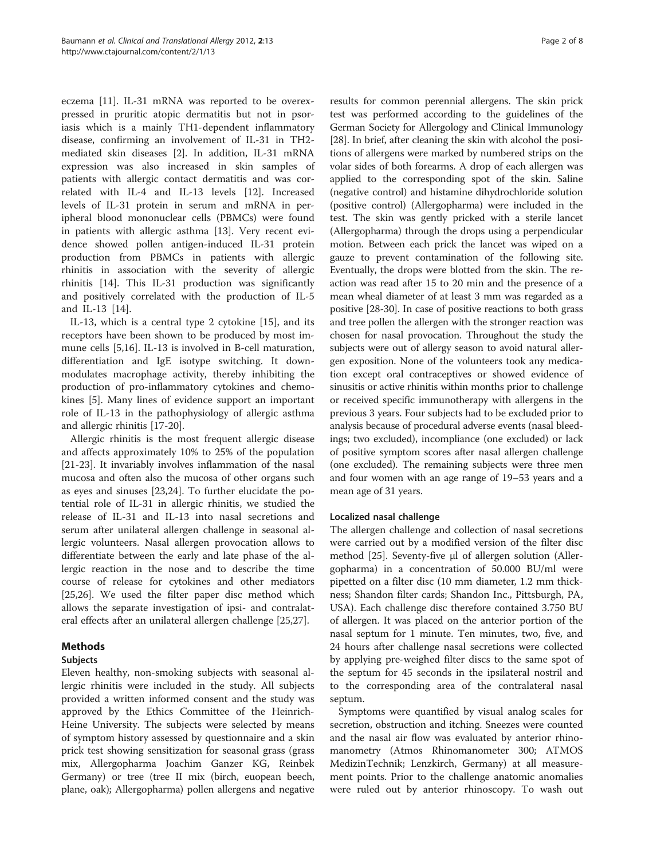eczema [[11](#page-6-0)]. IL-31 mRNA was reported to be overexpressed in pruritic atopic dermatitis but not in psoriasis which is a mainly TH1-dependent inflammatory disease, confirming an involvement of IL-31 in TH2 mediated skin diseases [[2\]](#page-6-0). In addition, IL-31 mRNA expression was also increased in skin samples of patients with allergic contact dermatitis and was correlated with IL-4 and IL-13 levels [[12](#page-6-0)]. Increased levels of IL-31 protein in serum and mRNA in peripheral blood mononuclear cells (PBMCs) were found in patients with allergic asthma [[13\]](#page-6-0). Very recent evidence showed pollen antigen-induced IL-31 protein production from PBMCs in patients with allergic rhinitis in association with the severity of allergic rhinitis [\[14\]](#page-6-0). This IL-31 production was significantly and positively correlated with the production of IL-5 and IL-13 [\[14](#page-6-0)].

IL-13, which is a central type 2 cytokine [[15\]](#page-6-0), and its receptors have been shown to be produced by most immune cells [\[5,16](#page-6-0)]. IL-13 is involved in B-cell maturation, differentiation and IgE isotype switching. It downmodulates macrophage activity, thereby inhibiting the production of pro-inflammatory cytokines and chemokines [[5\]](#page-6-0). Many lines of evidence support an important role of IL-13 in the pathophysiology of allergic asthma and allergic rhinitis [\[17](#page-6-0)[-20](#page-7-0)].

Allergic rhinitis is the most frequent allergic disease and affects approximately 10% to 25% of the population [[21-23](#page-7-0)]. It invariably involves inflammation of the nasal mucosa and often also the mucosa of other organs such as eyes and sinuses [[23,24\]](#page-7-0). To further elucidate the potential role of IL-31 in allergic rhinitis, we studied the release of IL-31 and IL-13 into nasal secretions and serum after unilateral allergen challenge in seasonal allergic volunteers. Nasal allergen provocation allows to differentiate between the early and late phase of the allergic reaction in the nose and to describe the time course of release for cytokines and other mediators [[25,26\]](#page-7-0). We used the filter paper disc method which allows the separate investigation of ipsi- and contralateral effects after an unilateral allergen challenge [[25](#page-7-0),[27](#page-7-0)].

# Methods

# Subjects

Eleven healthy, non-smoking subjects with seasonal allergic rhinitis were included in the study. All subjects provided a written informed consent and the study was approved by the Ethics Committee of the Heinrich-Heine University. The subjects were selected by means of symptom history assessed by questionnaire and a skin prick test showing sensitization for seasonal grass (grass mix, Allergopharma Joachim Ganzer KG, Reinbek Germany) or tree (tree II mix (birch, euopean beech, plane, oak); Allergopharma) pollen allergens and negative

results for common perennial allergens. The skin prick test was performed according to the guidelines of the German Society for Allergology and Clinical Immunology [[28](#page-7-0)]. In brief, after cleaning the skin with alcohol the positions of allergens were marked by numbered strips on the volar sides of both forearms. A drop of each allergen was applied to the corresponding spot of the skin. Saline (negative control) and histamine dihydrochloride solution (positive control) (Allergopharma) were included in the test. The skin was gently pricked with a sterile lancet (Allergopharma) through the drops using a perpendicular motion. Between each prick the lancet was wiped on a gauze to prevent contamination of the following site. Eventually, the drops were blotted from the skin. The reaction was read after 15 to 20 min and the presence of a mean wheal diameter of at least 3 mm was regarded as a positive [\[28-30](#page-7-0)]. In case of positive reactions to both grass and tree pollen the allergen with the stronger reaction was chosen for nasal provocation. Throughout the study the subjects were out of allergy season to avoid natural allergen exposition. None of the volunteers took any medication except oral contraceptives or showed evidence of sinusitis or active rhinitis within months prior to challenge or received specific immunotherapy with allergens in the previous 3 years. Four subjects had to be excluded prior to analysis because of procedural adverse events (nasal bleedings; two excluded), incompliance (one excluded) or lack of positive symptom scores after nasal allergen challenge (one excluded). The remaining subjects were three men and four women with an age range of 19–53 years and a mean age of 31 years.

# Localized nasal challenge

The allergen challenge and collection of nasal secretions were carried out by a modified version of the filter disc method [\[25\]](#page-7-0). Seventy-five μl of allergen solution (Allergopharma) in a concentration of 50.000 BU/ml were pipetted on a filter disc (10 mm diameter, 1.2 mm thickness; Shandon filter cards; Shandon Inc., Pittsburgh, PA, USA). Each challenge disc therefore contained 3.750 BU of allergen. It was placed on the anterior portion of the nasal septum for 1 minute. Ten minutes, two, five, and 24 hours after challenge nasal secretions were collected by applying pre-weighed filter discs to the same spot of the septum for 45 seconds in the ipsilateral nostril and to the corresponding area of the contralateral nasal septum.

Symptoms were quantified by visual analog scales for secretion, obstruction and itching. Sneezes were counted and the nasal air flow was evaluated by anterior rhinomanometry (Atmos Rhinomanometer 300; ATMOS MedizinTechnik; Lenzkirch, Germany) at all measurement points. Prior to the challenge anatomic anomalies were ruled out by anterior rhinoscopy. To wash out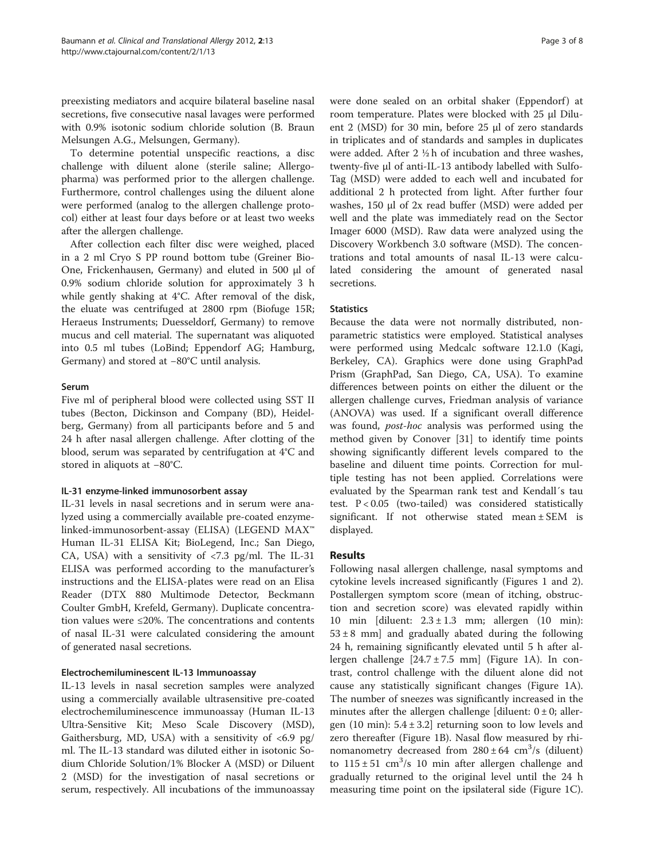preexisting mediators and acquire bilateral baseline nasal secretions, five consecutive nasal lavages were performed with 0.9% isotonic sodium chloride solution (B. Braun Melsungen A.G., Melsungen, Germany).

To determine potential unspecific reactions, a disc challenge with diluent alone (sterile saline; Allergopharma) was performed prior to the allergen challenge. Furthermore, control challenges using the diluent alone were performed (analog to the allergen challenge protocol) either at least four days before or at least two weeks after the allergen challenge.

After collection each filter disc were weighed, placed in a 2 ml Cryo S PP round bottom tube (Greiner Bio-One, Frickenhausen, Germany) and eluted in 500 μl of 0.9% sodium chloride solution for approximately 3 h while gently shaking at 4°C. After removal of the disk, the eluate was centrifuged at 2800 rpm (Biofuge 15R; Heraeus Instruments; Duesseldorf, Germany) to remove mucus and cell material. The supernatant was aliquoted into 0.5 ml tubes (LoBind; Eppendorf AG; Hamburg, Germany) and stored at −80°C until analysis.

# Serum

Five ml of peripheral blood were collected using SST II tubes (Becton, Dickinson and Company (BD), Heidelberg, Germany) from all participants before and 5 and 24 h after nasal allergen challenge. After clotting of the blood, serum was separated by centrifugation at 4°C and stored in aliquots at −80°C.

# IL-31 enzyme-linked immunosorbent assay

IL-31 levels in nasal secretions and in serum were analyzed using a commercially available pre-coated enzymelinked-immunosorbent-assay (ELISA) (LEGEND MAX™ Human IL-31 ELISA Kit; BioLegend, Inc.; San Diego, CA, USA) with a sensitivity of  $\langle 7.3 \text{ pg/ml}$ . The IL-31 ELISA was performed according to the manufacturer's instructions and the ELISA-plates were read on an Elisa Reader (DTX 880 Multimode Detector, Beckmann Coulter GmbH, Krefeld, Germany). Duplicate concentration values were ≤20%. The concentrations and contents of nasal IL-31 were calculated considering the amount of generated nasal secretions.

# Electrochemiluminescent IL-13 Immunoassay

IL-13 levels in nasal secretion samples were analyzed using a commercially available ultrasensitive pre-coated electrochemiluminescence immunoassay (Human IL-13 Ultra-Sensitive Kit; Meso Scale Discovery (MSD), Gaithersburg, MD, USA) with a sensitivity of  $<6.9$  pg/ ml. The IL-13 standard was diluted either in isotonic Sodium Chloride Solution/1% Blocker A (MSD) or Diluent 2 (MSD) for the investigation of nasal secretions or serum, respectively. All incubations of the immunoassay

were done sealed on an orbital shaker (Eppendorf) at room temperature. Plates were blocked with 25 μl Diluent 2 (MSD) for 30 min, before 25 μl of zero standards in triplicates and of standards and samples in duplicates were added. After 2 ½ h of incubation and three washes, twenty-five μl of anti-IL-13 antibody labelled with Sulfo-Tag (MSD) were added to each well and incubated for additional 2 h protected from light. After further four washes, 150 μl of 2x read buffer (MSD) were added per well and the plate was immediately read on the Sector Imager 6000 (MSD). Raw data were analyzed using the Discovery Workbench 3.0 software (MSD). The concentrations and total amounts of nasal IL-13 were calculated considering the amount of generated nasal secretions.

# **Statistics**

Because the data were not normally distributed, nonparametric statistics were employed. Statistical analyses were performed using Medcalc software 12.1.0 (Kagi, Berkeley, CA). Graphics were done using GraphPad Prism (GraphPad, San Diego, CA, USA). To examine differences between points on either the diluent or the allergen challenge curves, Friedman analysis of variance (ANOVA) was used. If a significant overall difference was found, post-hoc analysis was performed using the method given by Conover [\[31\]](#page-7-0) to identify time points showing significantly different levels compared to the baseline and diluent time points. Correction for multiple testing has not been applied. Correlations were evaluated by the Spearman rank test and Kendall´s tau test. P < 0.05 (two-tailed) was considered statistically significant. If not otherwise stated mean ± SEM is displayed.

# **Results**

Following nasal allergen challenge, nasal symptoms and cytokine levels increased significantly (Figures [1](#page-3-0) and [2](#page-3-0)). Postallergen symptom score (mean of itching, obstruction and secretion score) was elevated rapidly within 10 min [diluent:  $2.3 \pm 1.3$  mm; allergen (10 min):  $53 \pm 8$  mm] and gradually abated during the following 24 h, remaining significantly elevated until 5 h after allergen challenge  $[24.7 \pm 7.5 \text{ mm}]$  (Figure [1A\)](#page-3-0). In contrast, control challenge with the diluent alone did not cause any statistically significant changes (Figure [1](#page-3-0)A). The number of sneezes was significantly increased in the minutes after the allergen challenge [diluent:  $0 \pm 0$ ; allergen (10 min): 5.4 ± 3.2] returning soon to low levels and zero thereafter (Figure [1B\)](#page-3-0). Nasal flow measured by rhinomanometry decreased from  $280 \pm 64$  cm<sup>3</sup>/s (diluent) to  $115 \pm 51$  cm<sup>3</sup>/s 10 min after allergen challenge and gradually returned to the original level until the 24 h measuring time point on the ipsilateral side (Figure [1C](#page-3-0)).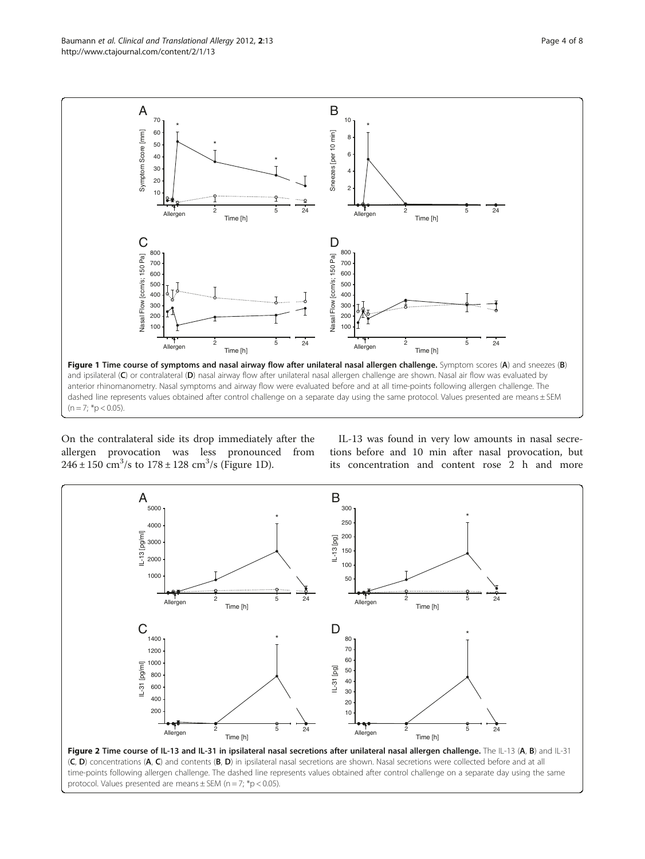<span id="page-3-0"></span>Baumann et al. Clinical and Translational Allergy 2012, 2:13 Page 4 of 8 http://www.ctajournal.com/content/2/1/13



On the contralateral side its drop immediately after the allergen provocation was less pronounced from  $246 \pm 150 \text{ cm}^3/\text{s}$  to  $178 \pm 128 \text{ cm}^3/\text{s}$  (Figure 1D).

IL-13 was found in very low amounts in nasal secretions before and 10 min after nasal provocation, but its concentration and content rose 2 h and more

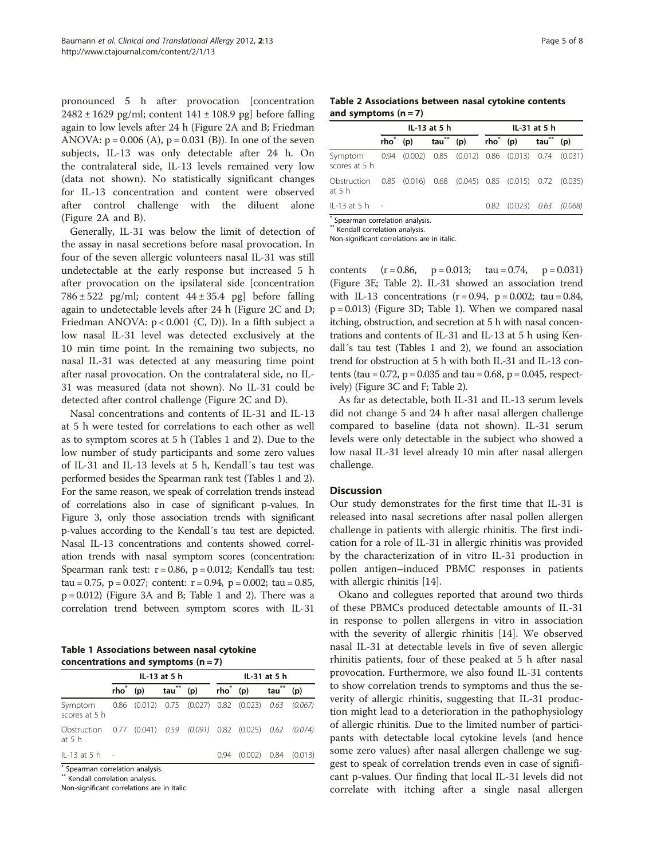<span id="page-4-0"></span>pronounced 5 h after provocation [concentration  $2482 \pm 1629$  pg/ml; content  $141 \pm 108.9$  pg] before falling again to low levels after 24 h (Figure [2A and B;](#page-3-0) Friedman ANOVA:  $p = 0.006$  (A),  $p = 0.031$  (B)). In one of the seven subjects, IL-13 was only detectable after 24 h. On the contralateral side, IL-13 levels remained very low (data not shown). No statistically significant changes for IL-13 concentration and content were observed after control challenge with the diluent alone (Figure [2](#page-3-0)A and B).

Generally, IL-31 was below the limit of detection of the assay in nasal secretions before nasal provocation. In four of the seven allergic volunteers nasal IL-31 was still undetectable at the early response but increased 5 h after provocation on the ipsilateral side [concentration  $786 \pm 522$  pg/ml; content  $44 \pm 35.4$  pg] before falling again to undetectable levels after 24 h (Figure [2](#page-3-0)C and D; Friedman ANOVA:  $p < 0.001$  (C, D)). In a fifth subject a low nasal IL-31 level was detected exclusively at the 10 min time point. In the remaining two subjects, no nasal IL-31 was detected at any measuring time point after nasal provocation. On the contralateral side, no IL-31 was measured (data not shown). No IL-31 could be detected after control challenge (Figure [2C](#page-3-0) and D).

Nasal concentrations and contents of IL-31 and IL-13 at 5 h were tested for correlations to each other as well as to symptom scores at 5 h (Tables 1 and 2). Due to the low number of study participants and some zero values of IL-31 and IL-13 levels at 5 h, Kendall´s tau test was performed besides the Spearman rank test (Tables 1 and 2). For the same reason, we speak of correlation trends instead of correlations also in case of significant p-values. In Figure [3,](#page-5-0) only those association trends with significant p-values according to the Kendall´s tau test are depicted. Nasal IL-13 concentrations and contents showed correlation trends with nasal symptom scores (concentration: Spearman rank test:  $r = 0.86$ ,  $p = 0.012$ ; Kendall's tau test: tau = 0.75,  $p = 0.027$ ; content:  $r = 0.94$ ,  $p = 0.002$ ; tau = 0.85, p = 0.012) (Figure [3](#page-5-0)A and B; Table 1 and 2). There was a correlation trend between symptom scores with IL-31

Table 1 Associations between nasal cytokine concentrations and symptoms  $(n = 7)$ 

|                                  |                  |     | IL-13 at 5 h     |                                                                     | IL-31 at 5 h |                |     |         |  |  |  |  |
|----------------------------------|------------------|-----|------------------|---------------------------------------------------------------------|--------------|----------------|-----|---------|--|--|--|--|
|                                  | rho <sup>*</sup> | (p) | tau <sup>"</sup> | (p)                                                                 | $rho^*$ (p)  |                | tau | (p)     |  |  |  |  |
| Symptom<br>scores at 5 h         |                  |     |                  | 0.86 (0.012) 0.75 (0.027) 0.82 (0.023) 0.63 (0.067)                 |              |                |     |         |  |  |  |  |
| Obstruction<br>at $5h$           |                  |     |                  | $0.77$ $(0.041)$ $0.59$ $(0.091)$ $0.82$ $(0.025)$ $0.62$ $(0.074)$ |              |                |     |         |  |  |  |  |
| $IL-13$ at 5 h $-I$              |                  |     |                  |                                                                     | 0.94         | $(0.002)$ 0.84 |     | (0.013) |  |  |  |  |
| * Spearman correlation analysis. |                  |     |                  |                                                                     |              |                |     |         |  |  |  |  |

\*\* Kendall correlation analysis.

Non-significant correlations are in italic.

Table 2 Associations between nasal cytokine contents and symptoms  $(n = 7)$ 

|                                                                              | IL-13 at 5 h |  |             |  | IL-31 at 5 h |                                   |                  |     |
|------------------------------------------------------------------------------|--------------|--|-------------|--|--------------|-----------------------------------|------------------|-----|
|                                                                              | $rho^*$ (p)  |  | $tau^*$ (p) |  | $rho^*$ (p)  |                                   | tau <sup>m</sup> | (p) |
| Symptom 0.94 (0.002) 0.85 (0.012) 0.86 (0.013) 0.74 (0.031)<br>scores at 5 h |              |  |             |  |              |                                   |                  |     |
| Obstruction 0.85 (0.016) 0.68 (0.045) 0.85 (0.015) 0.72 (0.035)<br>at 5 h    |              |  |             |  |              |                                   |                  |     |
| $IL-13$ at 5 h $-I$                                                          |              |  |             |  |              | $0.82$ $(0.023)$ $0.63$ $(0.068)$ |                  |     |

Spearman correlation analysis. \* Kendall correlation analysis.

Non-significant correlations are in italic.

contents  $(r = 0.86, p = 0.013; tau = 0.74, p = 0.031)$ (Figure [3E](#page-5-0); Table 2). IL-31 showed an association trend with IL-13 concentrations  $(r = 0.94, p = 0.002; tau = 0.84,$ p = 0.013) (Figure [3D](#page-5-0); Table 1). When we compared nasal itching, obstruction, and secretion at 5 h with nasal concentrations and contents of IL-31 and IL-13 at 5 h using Kendall´s tau test (Tables 1 and 2), we found an association trend for obstruction at 5 h with both IL-31 and IL-13 contents (tau =  $0.72$ ,  $p = 0.035$  and tau = 0.68,  $p = 0.045$ , respectively) (Figure [3C and F;](#page-5-0) Table 2).

As far as detectable, both IL-31 and IL-13 serum levels did not change 5 and 24 h after nasal allergen challenge compared to baseline (data not shown). IL-31 serum levels were only detectable in the subject who showed a low nasal IL-31 level already 10 min after nasal allergen challenge.

#### Discussion

Our study demonstrates for the first time that IL-31 is released into nasal secretions after nasal pollen allergen challenge in patients with allergic rhinitis. The first indication for a role of IL-31 in allergic rhinitis was provided by the characterization of in vitro IL-31 production in pollen antigen–induced PBMC responses in patients with allergic rhinitis [[14\]](#page-6-0).

Okano and collegues reported that around two thirds of these PBMCs produced detectable amounts of IL-31 in response to pollen allergens in vitro in association with the severity of allergic rhinitis [\[14](#page-6-0)]. We observed nasal IL-31 at detectable levels in five of seven allergic rhinitis patients, four of these peaked at 5 h after nasal provocation. Furthermore, we also found IL-31 contents to show correlation trends to symptoms and thus the severity of allergic rhinitis, suggesting that IL-31 production might lead to a deterioration in the pathophysiology of allergic rhinitis. Due to the limited number of participants with detectable local cytokine levels (and hence some zero values) after nasal allergen challenge we suggest to speak of correlation trends even in case of significant p-values. Our finding that local IL-31 levels did not correlate with itching after a single nasal allergen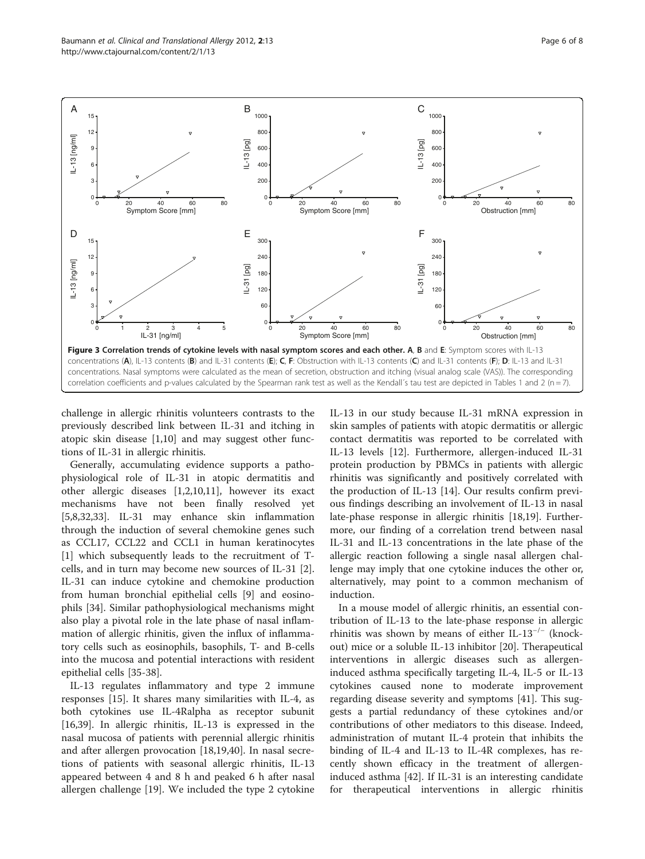challenge in allergic rhinitis volunteers contrasts to the previously described link between IL-31 and itching in atopic skin disease [\[1,10](#page-6-0)] and may suggest other functions of IL-31 in allergic rhinitis.

Generally, accumulating evidence supports a pathophysiological role of IL-31 in atopic dermatitis and other allergic diseases [[1,2,10,11\]](#page-6-0), however its exact mechanisms have not been finally resolved yet [[5,8,](#page-6-0)[32,33\]](#page-7-0). IL-31 may enhance skin inflammation through the induction of several chemokine genes such as CCL17, CCL22 and CCL1 in human keratinocytes [[1\]](#page-6-0) which subsequently leads to the recruitment of Tcells, and in turn may become new sources of IL-31 [\[2](#page-6-0)]. IL-31 can induce cytokine and chemokine production from human bronchial epithelial cells [\[9](#page-6-0)] and eosinophils [[34](#page-7-0)]. Similar pathophysiological mechanisms might also play a pivotal role in the late phase of nasal inflammation of allergic rhinitis, given the influx of inflammatory cells such as eosinophils, basophils, T- and B-cells into the mucosa and potential interactions with resident epithelial cells [\[35-38](#page-7-0)].

IL-13 regulates inflammatory and type 2 immune responses [\[15](#page-6-0)]. It shares many similarities with IL-4, as both cytokines use IL-4Ralpha as receptor subunit [[16,](#page-6-0)[39\]](#page-7-0). In allergic rhinitis, IL-13 is expressed in the nasal mucosa of patients with perennial allergic rhinitis and after allergen provocation [[18,19](#page-6-0),[40](#page-7-0)]. In nasal secretions of patients with seasonal allergic rhinitis, IL-13 appeared between 4 and 8 h and peaked 6 h after nasal allergen challenge [[19\]](#page-6-0). We included the type 2 cytokine IL-13 in our study because IL-31 mRNA expression in skin samples of patients with atopic dermatitis or allergic contact dermatitis was reported to be correlated with IL-13 levels [[12\]](#page-6-0). Furthermore, allergen-induced IL-31 protein production by PBMCs in patients with allergic rhinitis was significantly and positively correlated with the production of IL-13 [[14\]](#page-6-0). Our results confirm previous findings describing an involvement of IL-13 in nasal late-phase response in allergic rhinitis [\[18,19\]](#page-6-0). Furthermore, our finding of a correlation trend between nasal IL-31 and IL-13 concentrations in the late phase of the allergic reaction following a single nasal allergen challenge may imply that one cytokine induces the other or, alternatively, may point to a common mechanism of induction.

In a mouse model of allergic rhinitis, an essential contribution of IL-13 to the late-phase response in allergic rhinitis was shown by means of either IL-13−/<sup>−</sup> (knockout) mice or a soluble IL-13 inhibitor [\[20](#page-7-0)]. Therapeutical interventions in allergic diseases such as allergeninduced asthma specifically targeting IL-4, IL-5 or IL-13 cytokines caused none to moderate improvement regarding disease severity and symptoms [[41\]](#page-7-0). This suggests a partial redundancy of these cytokines and/or contributions of other mediators to this disease. Indeed, administration of mutant IL-4 protein that inhibits the binding of IL-4 and IL-13 to IL-4R complexes, has recently shown efficacy in the treatment of allergeninduced asthma [\[42](#page-7-0)]. If IL-31 is an interesting candidate for therapeutical interventions in allergic rhinitis

<span id="page-5-0"></span>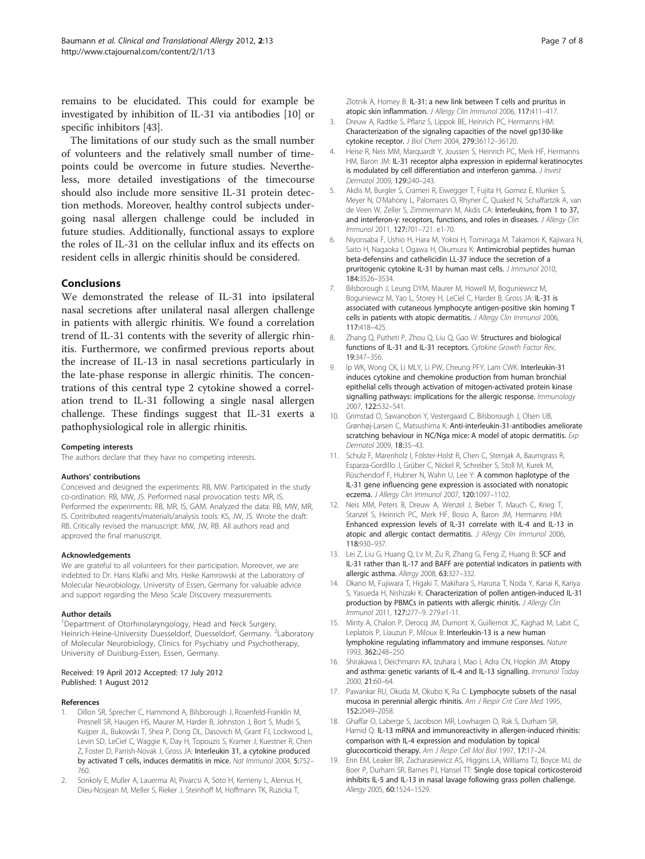<span id="page-6-0"></span>remains to be elucidated. This could for example be investigated by inhibition of IL-31 via antibodies [10] or specific inhibitors [\[43](#page-7-0)].

The limitations of our study such as the small number of volunteers and the relatively small number of timepoints could be overcome in future studies. Nevertheless, more detailed investigations of the timecourse should also include more sensitive IL-31 protein detection methods. Moreover, healthy control subjects undergoing nasal allergen challenge could be included in future studies. Additionally, functional assays to explore the roles of IL-31 on the cellular influx and its effects on resident cells in allergic rhinitis should be considered.

#### Conclusions

We demonstrated the release of IL-31 into ipsilateral nasal secretions after unilateral nasal allergen challenge in patients with allergic rhinitis. We found a correlation trend of IL-31 contents with the severity of allergic rhinitis. Furthermore, we confirmed previous reports about the increase of IL-13 in nasal secretions particularly in the late-phase response in allergic rhinitis. The concentrations of this central type 2 cytokine showed a correlation trend to IL-31 following a single nasal allergen challenge. These findings suggest that IL-31 exerts a pathophysiological role in allergic rhinitis.

#### Competing interests

The authors declare that they have no competing interests.

#### Authors' contributions

Conceived and designed the experiments: RB, MW. Participated in the study co-ordination: RB, MW, JS. Performed nasal provocation tests: MR, IS. Performed the experiments: RB, MR, IS, GAM. Analyzed the data: RB, MW, MR, IS. Contributed reagents/materials/analysis tools: KS, JW, JS. Wrote the draft: RB. Critically revised the manuscript: MW, JW, RB. All authors read and approved the final manuscript.

#### Acknowledgements

We are grateful to all volunteers for their participation. Moreover, we are indebted to Dr. Hans Klafki and Mrs. Heike Kamrowski at the Laboratory of Molecular Neurobiology, University of Essen, Germany for valuable advice and support regarding the Meso Scale Discovery measurements.

#### Author details

<sup>1</sup>Department of Otorhinolaryngology, Head and Neck Surgery, Heinrich-Heine-University Duesseldorf, Duesseldorf, Germany. <sup>2</sup>Laboratory of Molecular Neurobiology, Clinics for Psychiatry und Psychotherapy, University of Duisburg-Essen, Essen, Germany.

#### Received: 19 April 2012 Accepted: 17 July 2012 Published: 1 August 2012

#### References

- 1. Dillon SR, Sprecher C, Hammond A, Bilsborough J, Rosenfeld-Franklin M, Presnell SR, Haugen HS, Maurer M, Harder B, Johnston J, Bort S, Mudri S, Kuijper JL, Bukowski T, Shea P, Dong DL, Dasovich M, Grant FJ, Lockwood L, Levin SD, LeCiel C, Waggie K, Day H, Topouzis S, Kramer J, Kuestner R, Chen Z, Foster D, Parrish-Novak J, Gross JA: Interleukin 31, a cytokine produced by activated T cells, induces dermatitis in mice. Nat Immunol 2004, 5:752– 760.
- 2. Sonkoly E, Muller A, Lauerma AI, Pivarcsi A, Soto H, Kemeny L, Alenius H, Dieu-Nosjean M, Meller S, Rieker J, Steinhoff M, Hoffmann TK, Ruzicka T,

Zlotnik A, Homey B: IL-31: a new link between T cells and pruritus in atopic skin inflammation. J Allergy Clin Immunol 2006, 117:411–417.

- 3. Dreuw A, Radtke S, Pflanz S, Lippok BE, Heinrich PC, Hermanns HM: Characterization of the signaling capacities of the novel gp130-like cytokine receptor. J Biol Chem 2004, 279:36112–36120.
- 4. Heise R, Neis MM, Marquardt Y, Joussen S, Heinrich PC, Merk HF, Hermanns HM, Baron JM: IL-31 receptor alpha expression in epidermal keratinocytes is modulated by cell differentiation and interferon gamma. J Invest Dermatol 2009, 129:240–243.
- 5. Akdis M, Burgler S, Crameri R, Eiwegger T, Fujita H, Gomez E, Klunker S, Meyer N, O'Mahony L, Palomares O, Rhyner C, Quaked N, Schaffartzik A, van de Veen W, Zeller S, Zimmermann M, Akdis CA: Interleukins, from 1 to 37, and interferon-γ: receptors, functions, and roles in diseases. J Allergy Clin Immunol 2011, 127:701–721. e1-70.
- 6. Niyonsaba F, Ushio H, Hara M, Yokoi H, Tominaga M, Takamori K, Kajiwara N, Saito H, Nagaoka I, Ogawa H, Okumura K: Antimicrobial peptides human beta-defensins and cathelicidin LL-37 induce the secretion of a pruritogenic cytokine IL-31 by human mast cells. *J Immunol* 2010, 184:3526–3534.
- 7. Bilsborough J, Leung DYM, Maurer M, Howell M, Boguniewicz M, Boguniewcz M, Yao L, Storey H, LeCiel C, Harder B, Gross JA: IL-31 is associated with cutaneous lymphocyte antigen-positive skin homing T cells in patients with atopic dermatitis. J Allergy Clin Immunol 2006, 117:418–425.
- Zhang Q, Putheti P, Zhou Q, Liu Q, Gao W: Structures and biological functions of IL-31 and IL-31 receptors. Cytokine Growth Factor Rev, 19:347–356.
- 9. Ip WK, Wong CK, Li MLY, Li PW, Cheung PFY, Lam CWK: Interleukin-31 induces cytokine and chemokine production from human bronchial epithelial cells through activation of mitogen-activated protein kinase signalling pathways: implications for the allergic response. Immunology 2007, 122:532–541.
- 10. Grimstad O, Sawanobori Y, Vestergaard C, Bilsborough J, Olsen UB, Grønhøj-Larsen C, Matsushima K: Anti-interleukin-31-antibodies ameliorate scratching behaviour in NC/Nga mice: A model of atopic dermatitis. Exp Dermatol 2009, 18:35–43.
- 11. Schulz F, Marenholz I, Fölster-Holst R, Chen C, Sternjak A, Baumgrass R, Esparza-Gordillo J, Grüber C, Nickel R, Schreiber S, Stoll M, Kurek M, Rüschendorf F, Hubner N, Wahn U, Lee Y: A common haplotype of the IL-31 gene influencing gene expression is associated with nonatopic eczema. J Allergy Clin Immunol 2007, 120:1097–1102.
- 12. Neis MM, Peters B, Dreuw A, Wenzel J, Bieber T, Mauch C, Krieg T, Stanzel S, Heinrich PC, Merk HF, Bosio A, Baron JM, Hermanns HM: Enhanced expression levels of IL-31 correlate with IL-4 and IL-13 in atopic and allergic contact dermatitis. J Allergy Clin Immunol 2006, 118:930–937.
- 13. Lei Z, Liu G, Huang Q, Lv M, Zu R, Zhang G, Feng Z, Huang B: SCF and IL-31 rather than IL-17 and BAFF are potential indicators in patients with allergic asthma. Allergy 2008, 63:327–332.
- 14. Okano M, Fujiwara T, Higaki T, Makihara S, Haruna T, Noda Y, Kanai K, Kariya S, Yasueda H, Nishizaki K: Characterization of pollen antigen-induced IL-31 production by PBMCs in patients with allergic rhinitis. J Allergy Clin Immunol 2011, 127:277–9. 279.e1-11.
- 15. Minty A, Chalon P, Derocq JM, Dumont X, Guillemot JC, Kaghad M, Labit C, Leplatois P, Liauzun P, Miloux B: Interleukin-13 is a new human lymphokine regulating inflammatory and immune responses. Nature 1993, 362:248–250.
- 16. Shirakawa I, Deichmann KA, Izuhara I, Mao I, Adra CN, Hopkin JM: Atopy and asthma: genetic variants of IL-4 and IL-13 signalling. Immunol Today 2000, 21:60–64.
- 17. Pawankar RU, Okuda M, Okubo K, Ra C: Lymphocyte subsets of the nasal mucosa in perennial allergic rhinitis. Am J Respir Crit Care Med 1995, 152:2049–2058.
- 18. Ghaffar O, Laberge S, Jacobson MR, Lowhagen O, Rak S, Durham SR, Hamid Q: IL-13 mRNA and immunoreactivity in allergen-induced rhinitis: comparison with IL-4 expression and modulation by topical glucocorticoid therapy. Am J Respir Cell Mol Biol 1997, 17:17-24.
- 19. Erin EM, Leaker BR, Zacharasiewicz AS, Higgins LA, Williams TJ, Boyce MJ, de Boer P, Durham SR, Barnes PJ, Hansel TT: Single dose topical corticosteroid inhibits IL-5 and IL-13 in nasal lavage following grass pollen challenge. Allergy 2005, 60:1524–1529.